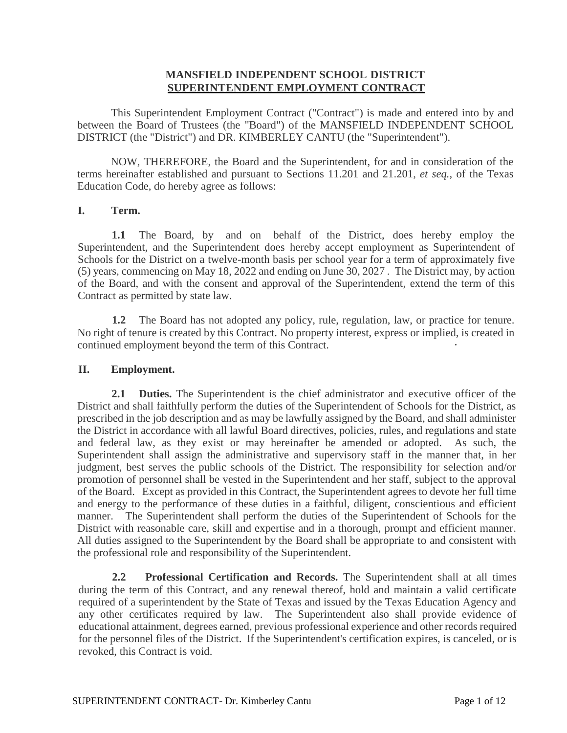### **MANSFIELD INDEPENDENT SCHOOL DISTRICT SUPERINTENDENT EMPLOYMENT CONTRACT**

This Superintendent Employment Contract ("Contract") is made and entered into by and between the Board of Trustees (the "Board") of the MANSFIELD INDEPENDENT SCHOOL DISTRICT (the "District") and DR. KIMBERLEY CANTU (the "Superintendent").

NOW, THEREFORE, the Board and the Superintendent, for and in consideration of the terms hereinafter established and pursuant to Sections 11.201 and 21.201, *et seq.,* of the Texas Education Code, do hereby agree as follows:

#### **I. Term.**

**1.1** The Board, by and on behalf of the District, does hereby employ the Superintendent, and the Superintendent does hereby accept employment as Superintendent of Schools for the District on a twelve-month basis per school year for a term of approximately five (5) years, commencing on May 18, 2022 and ending on June 30, 2027 . The District may, by action of the Board, and with the consent and approval of the Superintendent, extend the term of this Contract as permitted by state law.

**1.2** The Board has not adopted any policy, rule, regulation, law, or practice for tenure. No right of tenure is created by this Contract. No property interest, express or implied, is created in continued employment beyond the term of this Contract.

#### **II. Employment.**

**2.1 Duties.** The Superintendent is the chief administrator and executive officer of the District and shall faithfully perform the duties of the Superintendent of Schools for the District, as prescribed in the job description and as may be lawfully assigned by the Board, and shall administer the District in accordance with all lawful Board directives, policies, rules, and regulations and state and federal law, as they exist or may hereinafter be amended or adopted. As such, the Superintendent shall assign the administrative and supervisory staff in the manner that, in her judgment, best serves the public schools of the District. The responsibility for selection and/or promotion of personnel shall be vested in the Superintendent and her staff, subject to the approval of the Board. Except as provided in this Contract, the Superintendent agrees to devote her full time and energy to the performance of these duties in a faithful, diligent, conscientious and efficient manner. The Superintendent shall perform the duties of the Superintendent of Schools for the District with reasonable care, skill and expertise and in a thorough, prompt and efficient manner. All duties assigned to the Superintendent by the Board shall be appropriate to and consistent with the professional role and responsibility of the Superintendent.

**2.2 Professional Certification and Records.** The Superintendent shall at all times during the term of this Contract, and any renewal thereof, hold and maintain a valid certificate required of a superintendent by the State of Texas and issued by the Texas Education Agency and any other certificates required by law. The Superintendent also shall provide evidence of educational attainment, degrees earned, previous professional experience and other records required for the personnel files of the District. If the Superintendent's certification expires, is canceled, or is revoked, this Contract is void.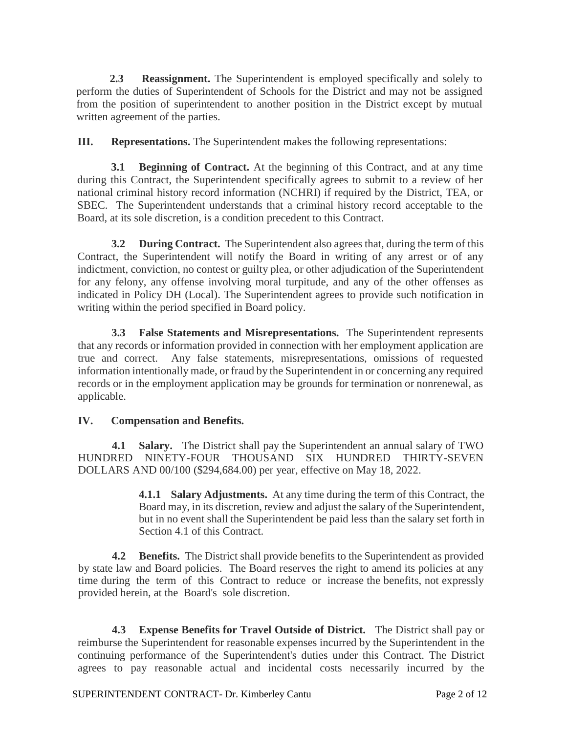**2.3 Reassignment.** The Superintendent is employed specifically and solely to perform the duties of Superintendent of Schools for the District and may not be assigned from the position of superintendent to another position in the District except by mutual written agreement of the parties.

**III. Representations.** The Superintendent makes the following representations:

**3.1 Beginning of Contract.** At the beginning of this Contract, and at any time during this Contract, the Superintendent specifically agrees to submit to a review of her national criminal history record information (NCHRI) if required by the District, TEA, or SBEC. The Superintendent understands that a criminal history record acceptable to the Board, at its sole discretion, is a condition precedent to this Contract.

**3.2 During Contract.** The Superintendent also agrees that, during the term of this Contract, the Superintendent will notify the Board in writing of any arrest or of any indictment, conviction, no contest or guilty plea, or other adjudication of the Superintendent for any felony, any offense involving moral turpitude, and any of the other offenses as indicated in Policy DH (Local). The Superintendent agrees to provide such notification in writing within the period specified in Board policy.

**3.3 False Statements and Misrepresentations.** The Superintendent represents that any records or information provided in connection with her employment application are true and correct. Any false statements, misrepresentations, omissions of requested information intentionally made, or fraud by the Superintendent in or concerning any required records or in the employment application may be grounds for termination or nonrenewal, as applicable.

# **IV. Compensation and Benefits.**

**4.1 Salary.** The District shall pay the Superintendent an annual salary of TWO HUNDRED NINETY-FOUR THOUSAND SIX HUNDRED THIRTY-SEVEN DOLLARS AND 00/100 (\$294,684.00) per year, effective on May 18, 2022.

> **4.1.1 Salary Adjustments.** At any time during the term of this Contract, the Board may, in its discretion, review and adjust the salary of the Superintendent, but in no event shall the Superintendent be paid less than the salary set forth in Section 4.1 of this Contract.

**4.2 Benefits.** The District shall provide benefits to the Superintendent as provided by state law and Board policies. The Board reserves the right to amend its policies at any time during the term of this Contract to reduce or increase the benefits, not expressly provided herein, at the Board's sole discretion.

**4.3 Expense Benefits for Travel Outside of District.** The District shall pay or reimburse the Superintendent for reasonable expenses incurred by the Superintendent in the continuing performance of the Superintendent's duties under this Contract. The District agrees to pay reasonable actual and incidental costs necessarily incurred by the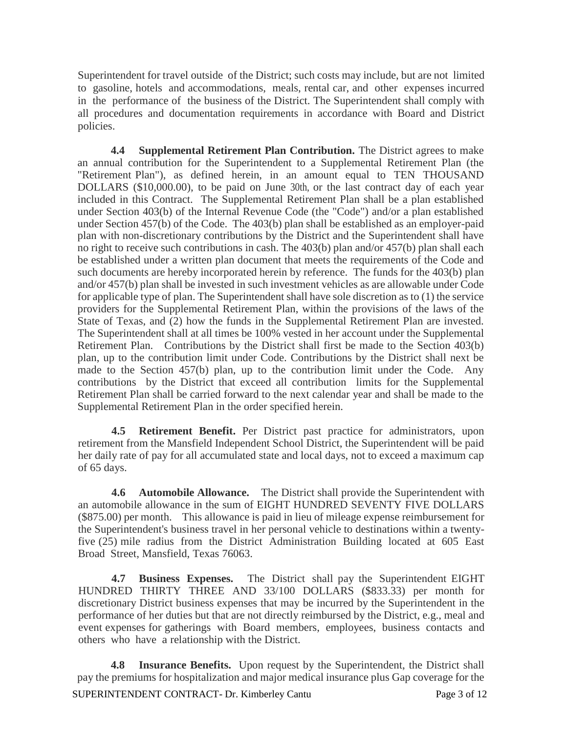Superintendent for travel outside of the District; such costs may include, but are not limited to gasoline, hotels and accommodations, meals, rental car, and other expenses incurred in the performance of the business of the District. The Superintendent shall comply with all procedures and documentation requirements in accordance with Board and District policies.

**4.4 Supplemental Retirement Plan Contribution.** The District agrees to make an annual contribution for the Superintendent to a Supplemental Retirement Plan (the "Retirement Plan"), as defined herein, in an amount equal to TEN THOUSAND DOLLARS (\$10,000.00), to be paid on June 30th, or the last contract day of each year included in this Contract. The Supplemental Retirement Plan shall be a plan established under Section 403(b) of the Internal Revenue Code (the "Code") and/or a plan established under Section 457(b) of the Code. The 403(b) plan shall be established as an employer-paid plan with non-discretionary contributions by the District and the Superintendent shall have no right to receive such contributions in cash. The 403(b) plan and/or 457(b) plan shall each be established under a written plan document that meets the requirements of the Code and such documents are hereby incorporated herein by reference. The funds for the 403(b) plan and/or 457(b) plan shall be invested in such investment vehicles as are allowable under Code for applicable type of plan. The Superintendent shall have sole discretion as to (1) the service providers for the Supplemental Retirement Plan, within the provisions of the laws of the State of Texas, and (2) how the funds in the Supplemental Retirement Plan are invested. The Superintendent shall at all times be 100% vested in her account under the Supplemental Retirement Plan. Contributions by the District shall first be made to the Section 403(b) plan, up to the contribution limit under Code. Contributions by the District shall next be made to the Section 457(b) plan, up to the contribution limit under the Code. Any contributions by the District that exceed all contribution limits for the Supplemental Retirement Plan shall be carried forward to the next calendar year and shall be made to the Supplemental Retirement Plan in the order specified herein.

**4.5 Retirement Benefit.** Per District past practice for administrators, upon retirement from the Mansfield Independent School District, the Superintendent will be paid her daily rate of pay for all accumulated state and local days, not to exceed a maximum cap of 65 days.

**4.6 Automobile Allowance.** The District shall provide the Superintendent with an automobile allowance in the sum of EIGHT HUNDRED SEVENTY FIVE DOLLARS (\$875.00) per month. This allowance is paid in lieu of mileage expense reimbursement for the Superintendent's business travel in her personal vehicle to destinations within a twentyfive (25) mile radius from the District Administration Building located at 605 East Broad Street, Mansfield, Texas 76063.

**4.7 Business Expenses.** The District shall pay the Superintendent EIGHT HUNDRED THIRTY THREE AND 33/100 DOLLARS (\$833.33) per month for discretionary District business expenses that may be incurred by the Superintendent in the performance of her duties but that are not directly reimbursed by the District, e.g., meal and event expenses for gatherings with Board members, employees, business contacts and others who have a relationship with the District.

**4.8 Insurance Benefits.** Upon request by the Superintendent, the District shall pay the premiums for hospitalization and major medical insurance plus Gap coverage for the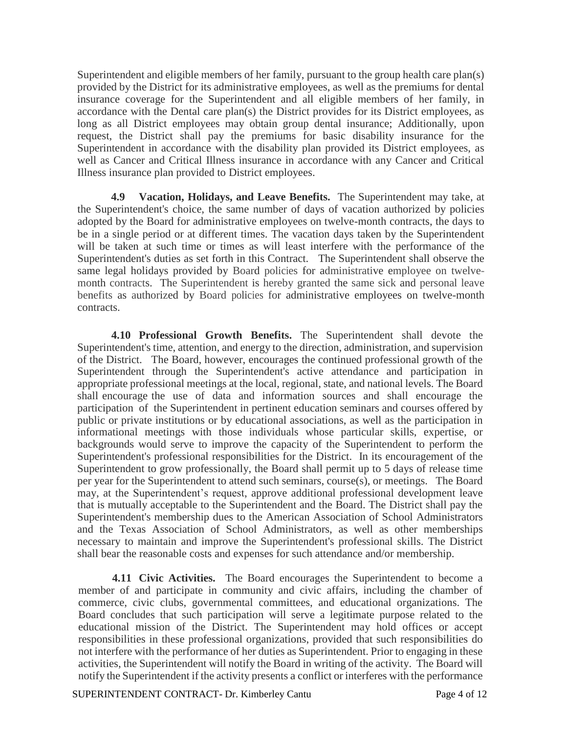Superintendent and eligible members of her family, pursuant to the group health care plan(s) provided by the District for its administrative employees, as well as the premiums for dental insurance coverage for the Superintendent and all eligible members of her family, in accordance with the Dental care plan(s) the District provides for its District employees, as long as all District employees may obtain group dental insurance; Additionally, upon request, the District shall pay the premiums for basic disability insurance for the Superintendent in accordance with the disability plan provided its District employees, as well as Cancer and Critical Illness insurance in accordance with any Cancer and Critical Illness insurance plan provided to District employees.

**4.9 Vacation, Holidays, and Leave Benefits.** The Superintendent may take, at the Superintendent's choice, the same number of days of vacation authorized by policies adopted by the Board for administrative employees on twelve-month contracts, the days to be in a single period or at different times. The vacation days taken by the Superintendent will be taken at such time or times as will least interfere with the performance of the Superintendent's duties as set forth in this Contract. The Superintendent shall observe the same legal holidays provided by Board policies for administrative employee on twelvemonth contracts. The Superintendent is hereby granted the same sick and personal leave benefits as authorized by Board policies for administrative employees on twelve-month contracts.

**4.10 Professional Growth Benefits.** The Superintendent shall devote the Superintendent's time, attention, and energy to the direction, administration, and supervision of the District. The Board, however, encourages the continued professional growth of the Superintendent through the Superintendent's active attendance and participation in appropriate professional meetings at the local, regional, state, and national levels. The Board shall encourage the use of data and information sources and shall encourage the participation of the Superintendent in pertinent education seminars and courses offered by public or private institutions or by educational associations, as well as the participation in informational meetings with those individuals whose particular skills, expertise, or backgrounds would serve to improve the capacity of the Superintendent to perform the Superintendent's professional responsibilities for the District. In its encouragement of the Superintendent to grow professionally, the Board shall permit up to 5 days of release time per year for the Superintendent to attend such seminars, course(s), or meetings. The Board may, at the Superintendent's request, approve additional professional development leave that is mutually acceptable to the Superintendent and the Board. The District shall pay the Superintendent's membership dues to the American Association of School Administrators and the Texas Association of School Administrators, as well as other memberships necessary to maintain and improve the Superintendent's professional skills. The District shall bear the reasonable costs and expenses for such attendance and/or membership.

**4.11 Civic Activities.** The Board encourages the Superintendent to become a member of and participate in community and civic affairs, including the chamber of commerce, civic clubs, governmental committees, and educational organizations. The Board concludes that such participation will serve a legitimate purpose related to the educational mission of the District. The Superintendent may hold offices or accept responsibilities in these professional organizations, provided that such responsibilities do not interfere with the performance of her duties as Superintendent. Prior to engaging in these activities, the Superintendent will notify the Board in writing of the activity. The Board will notify the Superintendent if the activity presents a conflict or interferes with the performance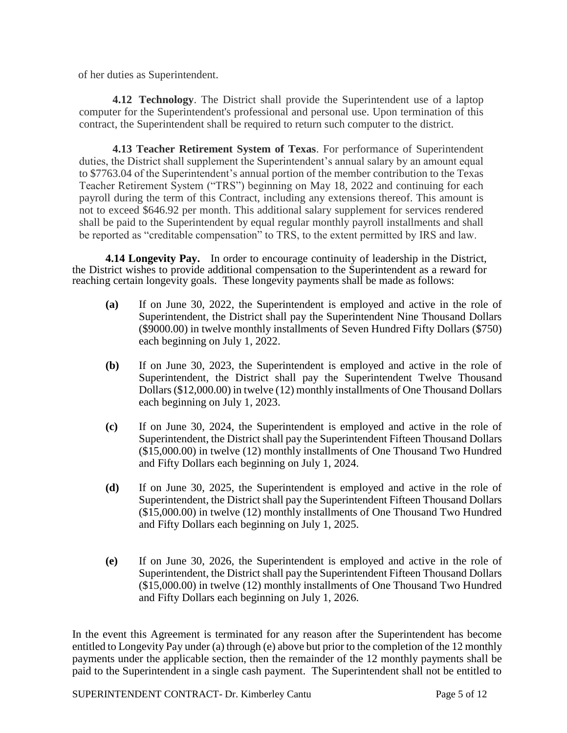of her duties as Superintendent.

**4.12 Technology**. The District shall provide the Superintendent use of a laptop computer for the Superintendent's professional and personal use. Upon termination of this contract, the Superintendent shall be required to return such computer to the district.

**4.13 Teacher Retirement System of Texas**. For performance of Superintendent duties, the District shall supplement the Superintendent's annual salary by an amount equal to \$7763.04 of the Superintendent's annual portion of the member contribution to the Texas Teacher Retirement System ("TRS") beginning on May 18, 2022 and continuing for each payroll during the term of this Contract, including any extensions thereof. This amount is not to exceed \$646.92 per month. This additional salary supplement for services rendered shall be paid to the Superintendent by equal regular monthly payroll installments and shall be reported as "creditable compensation" to TRS, to the extent permitted by IRS and law.

**4.14 Longevity Pay.** In order to encourage continuity of leadership in the District, the District wishes to provide additional compensation to the Superintendent as a reward for reaching certain longevity goals. These longevity payments shall be made as follows:

- **(a)** If on June 30, 2022, the Superintendent is employed and active in the role of Superintendent, the District shall pay the Superintendent Nine Thousand Dollars (\$9000.00) in twelve monthly installments of Seven Hundred Fifty Dollars (\$750) each beginning on July 1, 2022.
- **(b)** If on June 30, 2023, the Superintendent is employed and active in the role of Superintendent, the District shall pay the Superintendent Twelve Thousand Dollars (\$12,000.00) in twelve (12) monthly installments of One Thousand Dollars each beginning on July 1, 2023.
- **(c)** If on June 30, 2024, the Superintendent is employed and active in the role of Superintendent, the District shall pay the Superintendent Fifteen Thousand Dollars (\$15,000.00) in twelve (12) monthly installments of One Thousand Two Hundred and Fifty Dollars each beginning on July 1, 2024.
- **(d)** If on June 30, 2025, the Superintendent is employed and active in the role of Superintendent, the District shall pay the Superintendent Fifteen Thousand Dollars (\$15,000.00) in twelve (12) monthly installments of One Thousand Two Hundred and Fifty Dollars each beginning on July 1, 2025.
- **(e)** If on June 30, 2026, the Superintendent is employed and active in the role of Superintendent, the District shall pay the Superintendent Fifteen Thousand Dollars (\$15,000.00) in twelve (12) monthly installments of One Thousand Two Hundred and Fifty Dollars each beginning on July 1, 2026.

In the event this Agreement is terminated for any reason after the Superintendent has become entitled to Longevity Pay under (a) through (e) above but prior to the completion of the 12 monthly payments under the applicable section, then the remainder of the 12 monthly payments shall be paid to the Superintendent in a single cash payment. The Superintendent shall not be entitled to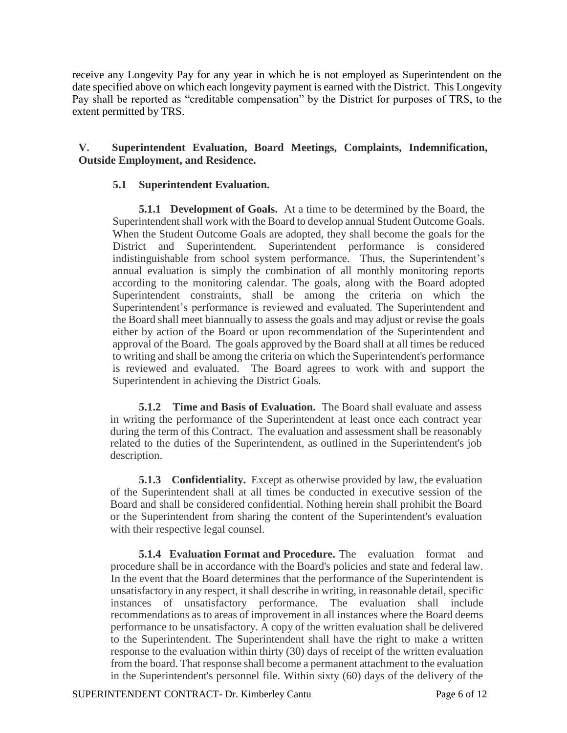receive any Longevity Pay for any year in which he is not employed as Superintendent on the date specified above on which each longevity payment is earned with the District. This Longevity Pay shall be reported as "creditable compensation" by the District for purposes of TRS, to the extent permitted by TRS.

### **V. Superintendent Evaluation, Board Meetings, Complaints, Indemnification, Outside Employment, and Residence.**

#### **5.1 Superintendent Evaluation.**

**5.1.1 Development of Goals.** At a time to be determined by the Board, the Superintendent shall work with the Board to develop annual Student Outcome Goals. When the Student Outcome Goals are adopted, they shall become the goals for the District and Superintendent. Superintendent performance is considered indistinguishable from school system performance. Thus, the Superintendent's annual evaluation is simply the combination of all monthly monitoring reports according to the monitoring calendar. The goals, along with the Board adopted Superintendent constraints, shall be among the criteria on which the Superintendent's performance is reviewed and evaluated. The Superintendent and the Board shall meet biannually to assess the goals and may adjust or revise the goals either by action of the Board or upon recommendation of the Superintendent and approval of the Board. The goals approved by the Board shall at all times be reduced to writing and shall be among the criteria on which the Superintendent's performance is reviewed and evaluated. The Board agrees to work with and support the Superintendent in achieving the District Goals.

**5.1.2 Time and Basis of Evaluation.** The Board shall evaluate and assess in writing the performance of the Superintendent at least once each contract year during the term of this Contract. The evaluation and assessment shall be reasonably related to the duties of the Superintendent, as outlined in the Superintendent's job description.

**5.1.3 Confidentiality.** Except as otherwise provided by law, the evaluation of the Superintendent shall at all times be conducted in executive session of the Board and shall be considered confidential. Nothing herein shall prohibit the Board or the Superintendent from sharing the content of the Superintendent's evaluation with their respective legal counsel.

**5.1.4 Evaluation Format and Procedure.** The evaluation format and procedure shall be in accordance with the Board's policies and state and federal law. In the event that the Board determines that the performance of the Superintendent is unsatisfactory in any respect, it shall describe in writing, in reasonable detail, specific instances of unsatisfactory performance. The evaluation shall include recommendations as to areas of improvement in all instances where the Board deems performance to be unsatisfactory. A copy of the written evaluation shall be delivered to the Superintendent. The Superintendent shall have the right to make a written response to the evaluation within thirty (30) days of receipt of the written evaluation from the board. That response shall become a permanent attachment to the evaluation in the Superintendent's personnel file. Within sixty (60) days of the delivery of the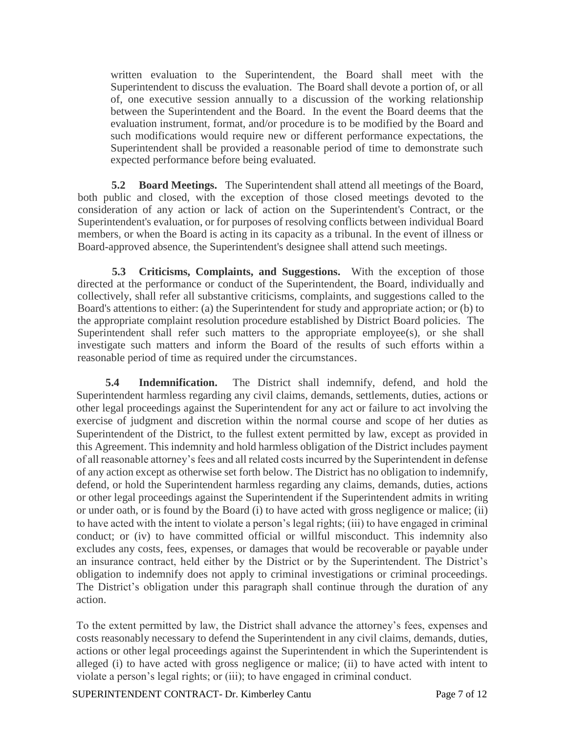written evaluation to the Superintendent, the Board shall meet with the Superintendent to discuss the evaluation. The Board shall devote a portion of, or all of, one executive session annually to a discussion of the working relationship between the Superintendent and the Board. In the event the Board deems that the evaluation instrument, format, and/or procedure is to be modified by the Board and such modifications would require new or different performance expectations, the Superintendent shall be provided a reasonable period of time to demonstrate such expected performance before being evaluated.

**5.2 Board Meetings.** The Superintendent shall attend all meetings of the Board, both public and closed, with the exception of those closed meetings devoted to the consideration of any action or lack of action on the Superintendent's Contract, or the Superintendent's evaluation, or for purposes of resolving conflicts between individual Board members, or when the Board is acting in its capacity as a tribunal. In the event of illness or Board-approved absence, the Superintendent's designee shall attend such meetings.

**5.3 Criticisms, Complaints, and Suggestions.** With the exception of those directed at the performance or conduct of the Superintendent, the Board, individually and collectively, shall refer all substantive criticisms, complaints, and suggestions called to the Board's attentions to either: (a) the Superintendent for study and appropriate action; or (b) to the appropriate complaint resolution procedure established by District Board policies. The Superintendent shall refer such matters to the appropriate employee(s), or she shall investigate such matters and inform the Board of the results of such efforts within a reasonable period of time as required under the circumstances.

**5.4 Indemnification.** The District shall indemnify, defend, and hold the Superintendent harmless regarding any civil claims, demands, settlements, duties, actions or other legal proceedings against the Superintendent for any act or failure to act involving the exercise of judgment and discretion within the normal course and scope of her duties as Superintendent of the District, to the fullest extent permitted by law, except as provided in this Agreement. This indemnity and hold harmless obligation of the District includes payment of all reasonable attorney's fees and all related costs incurred by the Superintendent in defense of any action except as otherwise set forth below. The District has no obligation to indemnify, defend, or hold the Superintendent harmless regarding any claims, demands, duties, actions or other legal proceedings against the Superintendent if the Superintendent admits in writing or under oath, or is found by the Board (i) to have acted with gross negligence or malice; (ii) to have acted with the intent to violate a person's legal rights; (iii) to have engaged in criminal conduct; or (iv) to have committed official or willful misconduct. This indemnity also excludes any costs, fees, expenses, or damages that would be recoverable or payable under an insurance contract, held either by the District or by the Superintendent. The District's obligation to indemnify does not apply to criminal investigations or criminal proceedings. The District's obligation under this paragraph shall continue through the duration of any action.

To the extent permitted by law, the District shall advance the attorney's fees, expenses and costs reasonably necessary to defend the Superintendent in any civil claims, demands, duties, actions or other legal proceedings against the Superintendent in which the Superintendent is alleged (i) to have acted with gross negligence or malice; (ii) to have acted with intent to violate a person's legal rights; or (iii); to have engaged in criminal conduct.

SUPERINTENDENT CONTRACT- Dr. Kimberley Cantu Page 7 of 12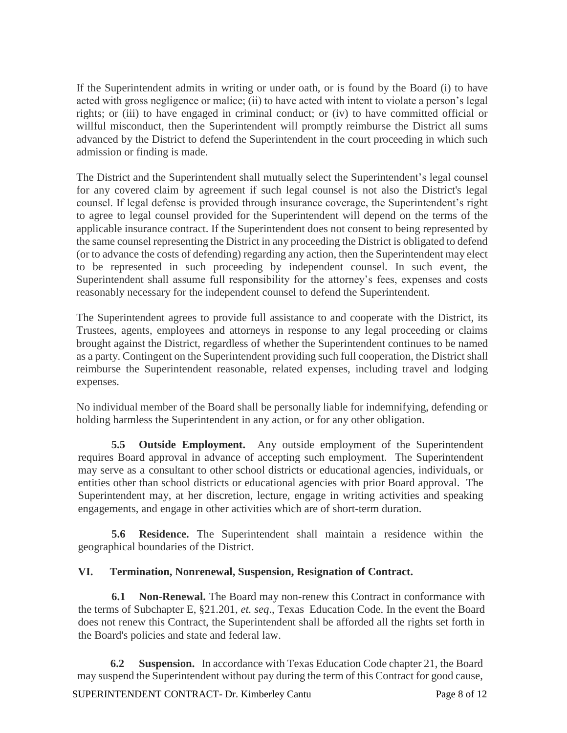If the Superintendent admits in writing or under oath, or is found by the Board (i) to have acted with gross negligence or malice; (ii) to have acted with intent to violate a person's legal rights; or (iii) to have engaged in criminal conduct; or (iv) to have committed official or willful misconduct, then the Superintendent will promptly reimburse the District all sums advanced by the District to defend the Superintendent in the court proceeding in which such admission or finding is made.

The District and the Superintendent shall mutually select the Superintendent's legal counsel for any covered claim by agreement if such legal counsel is not also the District's legal counsel. If legal defense is provided through insurance coverage, the Superintendent's right to agree to legal counsel provided for the Superintendent will depend on the terms of the applicable insurance contract. If the Superintendent does not consent to being represented by the same counsel representing the District in any proceeding the District is obligated to defend (or to advance the costs of defending) regarding any action, then the Superintendent may elect to be represented in such proceeding by independent counsel. In such event, the Superintendent shall assume full responsibility for the attorney's fees, expenses and costs reasonably necessary for the independent counsel to defend the Superintendent.

The Superintendent agrees to provide full assistance to and cooperate with the District, its Trustees, agents, employees and attorneys in response to any legal proceeding or claims brought against the District, regardless of whether the Superintendent continues to be named as a party. Contingent on the Superintendent providing such full cooperation, the District shall reimburse the Superintendent reasonable, related expenses, including travel and lodging expenses.

No individual member of the Board shall be personally liable for indemnifying, defending or holding harmless the Superintendent in any action, or for any other obligation.

**5.5 Outside Employment.** Any outside employment of the Superintendent requires Board approval in advance of accepting such employment. The Superintendent may serve as a consultant to other school districts or educational agencies, individuals, or entities other than school districts or educational agencies with prior Board approval. The Superintendent may, at her discretion, lecture, engage in writing activities and speaking engagements, and engage in other activities which are of short-term duration.

**5.6 Residence.** The Superintendent shall maintain a residence within the geographical boundaries of the District.

# **VI. Termination, Nonrenewal, Suspension, Resignation of Contract.**

**6.1 Non-Renewal.** The Board may non-renew this Contract in conformance with the terms of Subchapter E, §21.201, *et. seq*., Texas Education Code. In the event the Board does not renew this Contract, the Superintendent shall be afforded all the rights set forth in the Board's policies and state and federal law.

**6.2 Suspension.** In accordance with Texas Education Code chapter 21, the Board may suspend the Superintendent without pay during the term of this Contract for good cause,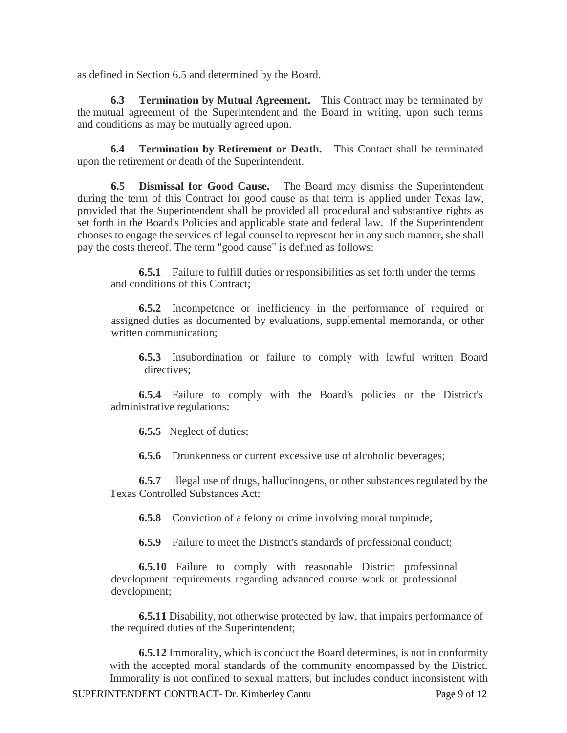as defined in Section 6.5 and determined by the Board.

**6.3 Termination by Mutual Agreement.** This Contract may be terminated by the mutual agreement of the Superintendent and the Board in writing, upon such terms and conditions as may be mutually agreed upon.

**6.4 Termination by Retirement or Death.** This Contact shall be terminated upon the retirement or death of the Superintendent.

**6.5 Dismissal for Good Cause.** The Board may dismiss the Superintendent during the term of this Contract for good cause as that term is applied under Texas law, provided that the Superintendent shall be provided all procedural and substantive rights as set forth in the Board's Policies and applicable state and federal law. If the Superintendent chooses to engage the services of legal counsel to represent her in any such manner, she shall pay the costs thereof. The term "good cause" is defined as follows:

**6.5.1** Failure to fulfill duties or responsibilities as set forth under the terms and conditions of this Contract;

**6.5.2** Incompetence or inefficiency in the performance of required or assigned duties as documented by evaluations, supplemental memoranda, or other written communication;

**6.5.3** Insubordination or failure to comply with lawful written Board directives:

**6.5.4** Failure to comply with the Board's policies or the District's administrative regulations;

**6.5.5** Neglect of duties;

**6.5.6** Drunkenness or current excessive use of alcoholic beverages;

**6.5.7** Illegal use of drugs, hallucinogens, or other substances regulated by the Texas Controlled Substances Act;

**6.5.8** Conviction of a felony or crime involving moral turpitude;

**6.5.9** Failure to meet the District's standards of professional conduct;

**6.5.10** Failure to comply with reasonable District professional development requirements regarding advanced course work or professional development;

**6.5.11** Disability, not otherwise protected by law, that impairs performance of the required duties of the Superintendent;

**6.5.12** Immorality, which is conduct the Board determines, is not in conformity with the accepted moral standards of the community encompassed by the District. Immorality is not confined to sexual matters, but includes conduct inconsistent with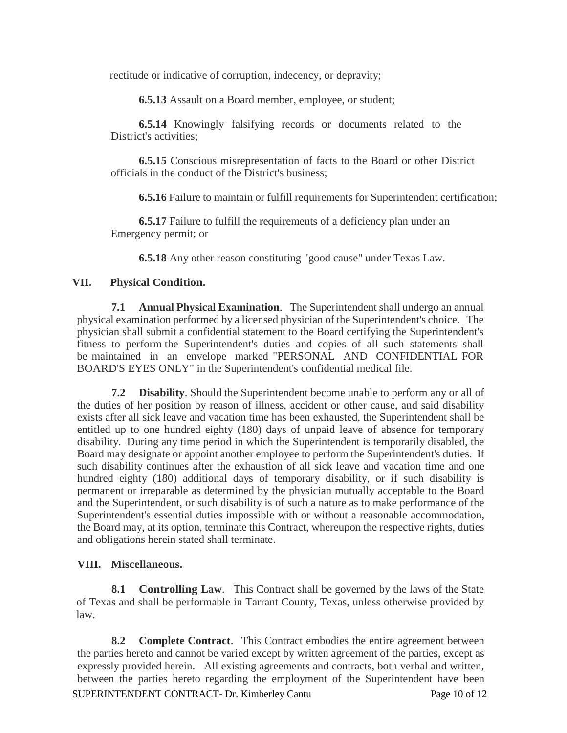rectitude or indicative of corruption, indecency, or depravity;

**6.5.13** Assault on a Board member, employee, or student;

**6.5.14** Knowingly falsifying records or documents related to the District's activities;

**6.5.15** Conscious misrepresentation of facts to the Board or other District officials in the conduct of the District's business;

**6.5.16** Failure to maintain or fulfill requirements for Superintendent certification;

**6.5.17** Failure to fulfill the requirements of a deficiency plan under an Emergency permit; or

**6.5.18** Any other reason constituting "good cause" under Texas Law.

### **VII. Physical Condition.**

**7.1 Annual Physical Examination**. The Superintendent shall undergo an annual physical examination performed by a licensed physician of the Superintendent's choice. The physician shall submit a confidential statement to the Board certifying the Superintendent's fitness to perform the Superintendent's duties and copies of all such statements shall be maintained in an envelope marked "PERSONAL AND CONFIDENTIAL FOR BOARD'S EYES ONLY" in the Superintendent's confidential medical file.

**7.2 Disability**. Should the Superintendent become unable to perform any or all of the duties of her position by reason of illness, accident or other cause, and said disability exists after all sick leave and vacation time has been exhausted, the Superintendent shall be entitled up to one hundred eighty (180) days of unpaid leave of absence for temporary disability. During any time period in which the Superintendent is temporarily disabled, the Board may designate or appoint another employee to perform the Superintendent's duties. If such disability continues after the exhaustion of all sick leave and vacation time and one hundred eighty (180) additional days of temporary disability, or if such disability is permanent or irreparable as determined by the physician mutually acceptable to the Board and the Superintendent, or such disability is of such a nature as to make performance of the Superintendent's essential duties impossible with or without a reasonable accommodation, the Board may, at its option, terminate this Contract, whereupon the respective rights, duties and obligations herein stated shall terminate.

### **VIII. Miscellaneous.**

**8.1 Controlling Law**. This Contract shall be governed by the laws of the State of Texas and shall be performable in Tarrant County, Texas, unless otherwise provided by law.

SUPERINTENDENT CONTRACT- Dr. Kimberley Cantu Page 10 of 12 **8.2 Complete Contract**. This Contract embodies the entire agreement between the parties hereto and cannot be varied except by written agreement of the parties, except as expressly provided herein. All existing agreements and contracts, both verbal and written, between the parties hereto regarding the employment of the Superintendent have been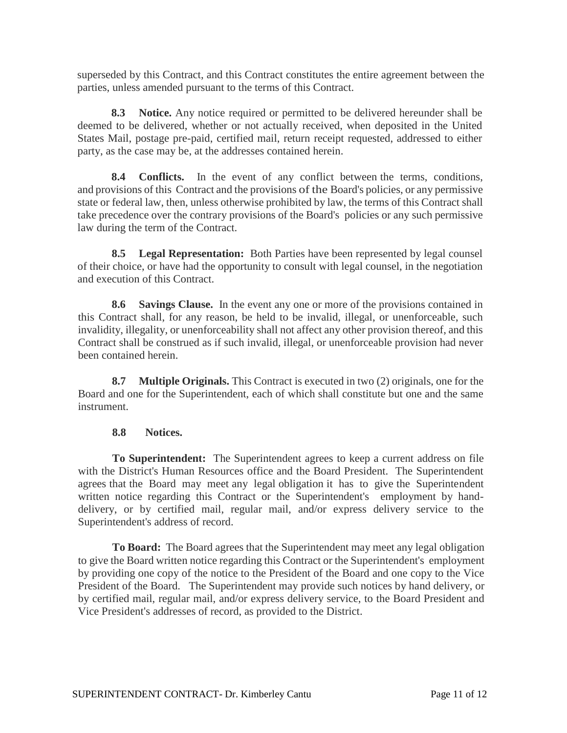superseded by this Contract, and this Contract constitutes the entire agreement between the parties, unless amended pursuant to the terms of this Contract.

**8.3 Notice.** Any notice required or permitted to be delivered hereunder shall be deemed to be delivered, whether or not actually received, when deposited in the United States Mail, postage pre-paid, certified mail, return receipt requested, addressed to either party, as the case may be, at the addresses contained herein.

**8.4 Conflicts.** In the event of any conflict between the terms, conditions, and provisions of this Contract and the provisions of the Board's policies, or any permissive state or federal law, then, unless otherwise prohibited by law, the terms of this Contract shall take precedence over the contrary provisions of the Board's policies or any such permissive law during the term of the Contract.

**8.5 Legal Representation:** Both Parties have been represented by legal counsel of their choice, or have had the opportunity to consult with legal counsel, in the negotiation and execution of this Contract.

**8.6 Savings Clause.** In the event any one or more of the provisions contained in this Contract shall, for any reason, be held to be invalid, illegal, or unenforceable, such invalidity, illegality, or unenforceability shall not affect any other provision thereof, and this Contract shall be construed as if such invalid, illegal, or unenforceable provision had never been contained herein.

**8.7 Multiple Originals.** This Contract is executed in two (2) originals, one for the Board and one for the Superintendent, each of which shall constitute but one and the same instrument.

### **8.8 Notices.**

**To Superintendent:** The Superintendent agrees to keep a current address on file with the District's Human Resources office and the Board President. The Superintendent agrees that the Board may meet any legal obligation it has to give the Superintendent written notice regarding this Contract or the Superintendent's employment by handdelivery, or by certified mail, regular mail, and/or express delivery service to the Superintendent's address of record.

**To Board:** The Board agrees that the Superintendent may meet any legal obligation to give the Board written notice regarding this Contract or the Superintendent's employment by providing one copy of the notice to the President of the Board and one copy to the Vice President of the Board. The Superintendent may provide such notices by hand delivery, or by certified mail, regular mail, and/or express delivery service, to the Board President and Vice President's addresses of record, as provided to the District.